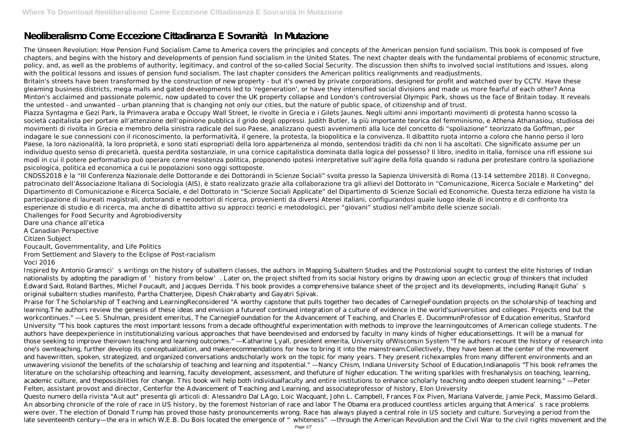# **Neoliberalismo Come Eccezione Cittadinanza E Sovranità In Mutazione**

The Unseen Revolution: How Pension Fund Socialism Came to America covers the principles and concepts of the American pension fund socialism. This book is composed of five chapters, and begins with the history and developments of pension fund socialism in the United States. The next chapter deals with the fundamental problems of economic structure, policy, and, as well as the problems of authority, legitimacy, and control of the so-called Social Security. The discussion then shifts to involved social institutions and issues, along with the political lessons and issues of pension fund socialism. The last chapter considers the American politics realignments and readjustments. Britain's streets have been transformed by the construction of new property - but it's owned by private corporations, designed for profit and watched over by CCTV. Have these gleaming business districts, mega malls and gated developments led to 'regeneration', or have they intensified social divisions and made us more fearful of each other? Anna Minton's acclaimed and passionate polemic, now updated to cover the UK property collapse and London's controversial Olympic Park, shows us the face of Britain today. It reveals the untested - and unwanted - urban planning that is changing not only our cities, but the nature of public space, of citizenship and of trust. Piazza Syntagma e Gezi Park, la Primavera araba e Occupy Wall Street, le rivolte in Grecia e i Gilets Jaunes. Negli ultimi anni importanti movimenti di protesta hanno scosso la società capitalista per portare all'attenzione dell'opinione pubblica il grido degli oppressi. Judith Butler, la più importante teorica del femminismo, e Athena Athanasiou, studiosa dei movimenti di rivolta in Grecia e membro della sinistra radicale del suo Paese, analizzano questi avvenimenti alla luce del concetto di "spoliazione" teorizzato da Goffman, per indagare le sue connessioni con il riconoscimento, la performatività, il genere, la protesta, la biopolitica e la convivenza. Il dibattito ruota intorno a coloro che hanno perso il loro Paese, la loro nazionalità, la loro proprietà, e sono stati espropriati della loro appartenenza al mondo, sentendosi traditi da chi non li ha ascoltati. Che significato assume per un individuo questo senso di precarietà, questa perdita sostanziale, in una cornice capitalistica dominata dalla logica del possesso? Il libro, inedito in Italia, fornisce una rifl essione sui modi in cui il potere performativo può operare come resistenza politica, proponendo ipotesi interpretative sull'agire della folla quando si raduna per protestare contro la spoliazione psicologica, politica ed economica a cui le popolazioni sono oggi sottoposte.

Praise for The Scholarship of Teaching and LearningReconsidered "A worthy capstone that pulls together two decades of CarnegieFoundation projects on the scholarship of teaching and learning.The authors review the genesis of these ideas and envision a futureof continued integration of a culture of evidence in the world'suniversities and colleges. Projects end but the workcontinues." —Lee S. Shulman, president emeritus, The CarnegieFoundation for the Advancement of Teaching, and Charles E. DucommunProfessor of Education emeritus, Stanford University "This book captures the most important lessons from a decade ofthoughtful experimentation with methods to improve the learningoutcomes of American college students. The authors have deepexperience in institutionalizing various approaches that have beendevised and endorsed by faculty in many kinds of higher educationsettings. It will be a manual for those seeking to improve theirown teaching and learning outcomes." —Katharine Lyall, president emerita, University ofWisconsin System "The authors recount the history of research into one's ownteaching, further develop its conceptualization, and makerecommendations for how to bring it into the mainstream.Collectively, they have been at the center of the movement and havewritten, spoken, strategized, and organized conversations andscholarly work on the topic for many years. They present richexamples from many different environments and an unwavering visionof the benefits of the scholarship of teaching and learning and itspotential." —Nancy Chism, Indiana University School of Education,Indianapolis "This book reframes the literature on the scholarship ofteaching and learning, faculty development, assessment, and thefuture of higher education. The writing sparkles with freshanalysis on teaching, learning, academic culture, and thepossibilities for change. This book will help both individualfaculty and entire institutions to enhance scholarly teaching andto deepen student learning." —Peter Felten, assistant provost and director, Centerfor the Advancement of Teaching and Learning, and associateprofessor of history, Elon University Questo numero della rivista "Aut aut" presenta gli articoli di: Alessandro Dal LAgo, Loic Wacquant, John L. Campbell, Frances Fox Piven, Mariana Valverde, Jamie Peck, Massimo Gelardi. An absorbing chronicle of the role of race in US history, by the foremost historian of race and labor The Obama era produced countless articles arguing that America's race problems were over. The election of Donald Trump has proved those hasty pronouncements wrong. Race has always played a central role in US society and culture. Surveying a period from the late seventeenth century—the era in which W.E.B. Du Bois located the emergence of "whiteness"—through the American Revolution and the Civil War to the civil rights movement and the

CNDSS2018 è la "III Conferenza Nazionale delle Dottorande e dei Dottorandi in Scienze Sociali" svolta presso la Sapienza Università di Roma (13-14 settembre 2018). Il Convegno, patrocinato dell'Associazione Italiana di Sociologia (AIS), è stato realizzato grazie alla collaborazione tra gli allievi del Dottorato in "Comunicazione, Ricerca Sociale e Marketing" del Dipartimento di Comunicazione e Ricerca Sociale, e del Dottorato in "Scienze Sociali Applicate" del Dipartimento di Scienze Sociali ed Economiche. Questa terza edizione ha visto la partecipazione di laureati magistrali, dottorandi e neodottori di ricerca, provenienti da diversi Atenei italiani, configurandosi quale luogo ideale di incontro e di confronto tra esperienze di studio e di ricerca, ma anche di dibattito attivo su approcci teorici e metodologici, per "giovani" studiosi nell'ambito delle scienze sociali. Challenges for Food Security and Agrobiodiversity

Dare una chance all'etica A Canadian Perspective Citizen Subject Foucault, Governmentality, and Life Politics From Settlement and Slavery to the Eclipse of Post-racialism Voci 2016

Inspired by Antonio Gramsci's writings on the history of subaltern classes, the authors in Mapping Subaltern Studies and the Postcolonial sought to contest the elite histories of Indian nationalists by adopting the paradigm of 'history from below'. Later on, the project shifted from its social history origins by drawing upon an eclectic group of thinkers that included Edward Said, Roland Barthes, Michel Foucault, and Jacques Derrida. This book provides a comprehensive balance sheet of the project and its developments, including Ranajit Guha's original subaltern studies manifesto, Partha Chatterjee, Dipesh Chakrabarty and Gayatri Spivak.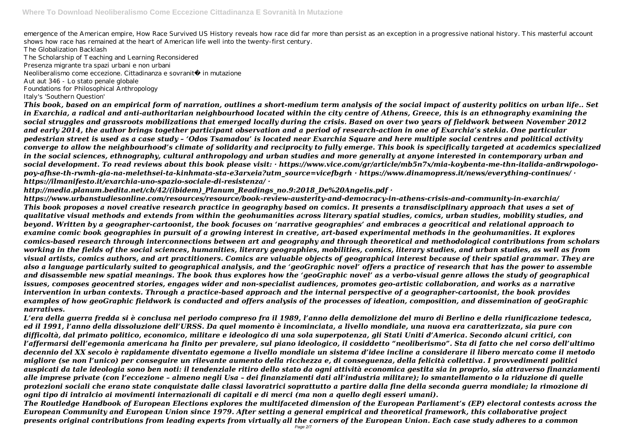emergence of the American empire, How Race Survived US History reveals how race did far more than persist as an exception in a progressive national history. This masterful account shows how race has remained at the heart of American life well into the twenty-first century.

The Globalization Backlash The Scholarship of Teaching and Learning Reconsidered Presenza migrante tra spazi urbani e non urbani

Neoliberalismo come eccezione. Cittadinanza e sovranità in mutazione

Aut aut 346 - Lo stato penale globale

Foundations for Philosophical Anthropology

Italy's 'Southern Question'

*This book, based on an empirical form of narration, outlines a short-medium term analysis of the social impact of austerity politics on urban life.. Set in Exarchia, a radical and anti-authoritarian neighbourhood located within the city centre of Athens, Greece, this is an ethnography examining the social struggles and grassroots mobilizations that emerged locally during the crisis. Based on over two years of fieldwork between November 2012 and early 2014, the author brings together participant observation and a period of research-action in one of Exarchia's stekia. One particular pedestrian street is used as a case study – 'Odos Tsamadou' is located near Exarchia Square and here multiple social centres and political activity converge to allow the neighbourhood's climate of solidarity and reciprocity to fully emerge. This book is specifically targeted at academics specialized in the social sciences, ethnography, cultural anthropology and urban studies and more generally at anyone interested in contemporary urban and social development. To read reviews about this book please visit: · https://www.vice.com/gr/article/mb5n7x/mia-koybenta-me-thn-italida-an8rwpologopoy-afhse-th-rwmh-gia-na-melethsei-ta-kinhmata-sta-e3arxeia?utm\_source=vicefbgrh · https://www.dinamopress.it/news/everything-continues/ · https://ilmanifesto.it/exarchia-uno-spazio-sociale-di-resistenza/ ·*

*http://media.planum.bedita.net/cb/42/(ibidem)\_Planum\_Readings\_no.9:2018\_De%20Angelis.pdf ·*

*https://www.urbanstudiesonline.com/resources/resource/book-review-austerity-and-democracy-in-athens-crisis-and-community-in-exarchia/ This book proposes a novel creative research practice in geography based on comics. It presents a transdisciplinary approach that uses a set of qualitative visual methods and extends from within the geohumanities across literary spatial studies, comics, urban studies, mobility studies, and beyond. Written by a geographer-cartoonist, the book focuses on 'narrative geographies' and embraces a geocritical and relational approach to examine comic book geographies in pursuit of a growing interest in creative, art-based experimental methods in the geohumanities. It explores comics-based research through interconnections between art and geography and through theoretical and methodological contributions from scholars working in the fields of the social sciences, humanities, literary geographies, mobilities, comics, literary studies, and urban studies, as well as from visual artists, comics authors, and art practitioners. Comics are valuable objects of geographical interest because of their spatial grammar. They are also a language particularly suited to geographical analysis, and the 'geoGraphic novel' offers a practice of research that has the power to assemble and disassemble new spatial meanings. The book thus explores how the 'geoGraphic novel' as a verbo-visual genre allows the study of geographical issues, composes geocentred stories, engages wider and non-specialist audiences, promotes geo-artistic collaboration, and works as a narrative intervention in urban contexts. Through a practice-based approach and the internal perspective of a geographer-cartoonist, the book provides examples of how geoGraphic fieldwork is conducted and offers analysis of the processes of ideation, composition, and dissemination of geoGraphic narratives.*

*L'era della guerra fredda si è conclusa nel periodo compreso fra il 1989, l'anno della demolizione del muro di Berlino e della riunificazione tedesca, ed il 1991, l'anno della dissoluzione dell'URSS. Da quel momento è incominciata, a livello mondiale, una nuova era caratterizzata, sia pure con difficoltà, dal primato politico, economico, militare e ideologico di una sola superpotenza, gli Stati Uniti d'America. Secondo alcuni critici, con l'affermarsi dell'egemonia americana ha finito per prevalere, sul piano ideologico, il cosiddetto "neoliberismo". Sta di fatto che nel corso dell'ultimo decennio del XX secolo è rapidamente diventato egemone a livello mondiale un sistema d'idee incline a considerare il libero mercato come il metodo migliore (se non l'unico) per conseguire un rilevante aumento della ricchezza e, di conseguenza, della felicità collettiva. I provvedimenti politici auspicati da tale ideologia sono ben noti: il tendenziale ritiro dello stato da ogni attività economica gestita sia in proprio, sia attraverso finanziamenti alle imprese private (con l'eccezione – almeno negli Usa – dei finanziamenti dati all'industria militare); lo smantellamento o la riduzione di quelle protezioni sociali che erano state conquistate dalle classi lavoratrici soprattutto a partire dalla fine della seconda guerra mondiale; la rimozione di ogni tipo di intralcio ai movimenti internazionali di capitali e di merci (ma non a quello degli esseri umani). The Routledge Handbook of European Elections explores the multifaceted dimension of the European Parliament's (EP) electoral contests across the European Community and European Union since 1979. After setting a general empirical and theoretical framework, this collaborative project presents original contributions from leading experts from virtually all the corners of the European Union. Each case study adheres to a common*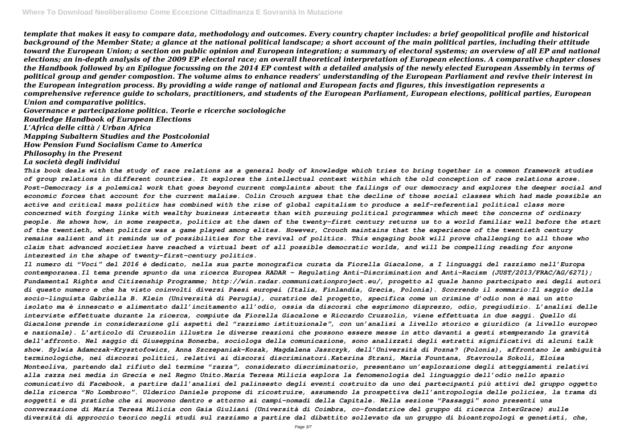*template that makes it easy to compare data, methodology and outcomes. Every country chapter includes: a brief geopolitical profile and historical background of the Member State; a glance at the national political landscape; a short account of the main political parties, including their attitude toward the European Union; a section on public opinion and European integration; a summary of electoral systems; an overview of all EP and national elections; an in-depth analysis of the 2009 EP electoral race; an overall theoretical interpretation of European elections. A comparative chapter closes the Handbook followed by an Epilogue focussing on the 2014 EP contest with a detailed analysis of the newly elected European Assembly in terms of political group and gender compostion. The volume aims to enhance readers' understanding of the European Parliament and revive their interest in the European integration process. By providing a wide range of national and European facts and figures, this investigation represents a comprehensive reference guide to scholars, practitioners, and students of the European Parliament, European elections, political parties, European Union and comparative politics.*

*Governance e partecipazione politica. Teorie e ricerche sociologiche*

*Routledge Handbook of European Elections*

*L'Africa delle città / Urban Africa*

*Mapping Subaltern Studies and the Postcolonial*

*How Pension Fund Socialism Came to America*

*Philosophy in the Present*

#### *La società degli individui*

*This book deals with the study of race relations as a general body of knowledge which tries to bring together in a common framework studies of group relations in different countries. It explores the intellectual context within which the old conception of race relations arose. Post-Democracy is a polemical work that goes beyond current complaints about the failings of our democracy and explores the deeper social and economic forces that account for the current malaise. Colin Crouch argues that the decline of those social classes which had made possible an active and critical mass politics has combined with the rise of global capitalism to produce a self-referential political class more concerned with forging links with wealthy business interests than with pursuing political programmes which meet the concerns of ordinary people. He shows how, in some respects, politics at the dawn of the twenty-first century returns us to a world familiar well before the start of the twentieth, when politics was a game played among elites. However, Crouch maintains that the experience of the twentieth century remains salient and it reminds us of possibilities for the revival of politics. This engaging book will prove challenging to all those who claim that advanced societies have reached a virtual best of all possible democratic worlds, and will be compelling reading for anyone interested in the shape of twenty-first-century politics.*

*Il numero di "Voci" del 2016 è dedicato, nella sua parte monografica curata da Fiorella Giacalone, a I linguaggi del razzismo nell'Europa contemporanea.Il tema prende spunto da una ricerca Europea RADAR – Regulating Anti-Discrimination and Anti-Racism (JUST/2013/FRAC/AG/6271); Fundamental Rights and Citizenship Programme; http://win.radar.communicationproject.eu/, progetto al quale hanno partecipato sei degli autori di questo numero e che ha visto coinvolti diversi Paesi europei (Italia, Finlandia, Grecia, Polonia). Scorrendo il sommario:Il saggio della socio-linguista Gabriella B. Klein (Università di Perugia), curatrice del progetto, specifica come un crimine d'odio non è mai un atto isolato ma è innescato e alimentato dall'incitamento all'odio, ossia da discorsi che esprimono disprezzo, odio, pregiudizio. L'analisi delle interviste effettuate durante la ricerca, compiute da Fiorella Giacalone e Riccardo Cruzzolin, viene effettuata in due saggi. Quello di Giacalone prende in considerazione gli aspetti del "razzismo istituzionale", con un'analisi a livello storico e giuridico (a livello europeo e nazionale). L'articolo di Cruzzolin illustra le diverse reazioni che possono essere messe in atto davanti a gesti stemperando la gravità dell'affronto. Nel saggio di Giuseppina Bonerba, sociologa della comunicazione, sono analizzati degli estratti significativi di alcuni talk show. Sylwia Adamczak-Krysztofowicz, Anna Szczepaniak-Kozak, Magdalena Jaszczyk, dell'Università di Pozna? (Polonia), affrontano le ambiguità terminologiche, nei discorsi politici, relativi ai discorsi discriminatori.Katerina Strani, Maria Fountana, Stavroula Sokoli, Eloísa Monteoliva, partendo dal rifiuto del termine "razza", considerato discriminatorio, presentano un'esplorazione degli atteggiamenti relativi alla razza nei media in Grecia e nel Regno Unito.Maria Teresa Milicia esplora la fenomenologia del linguaggio dell'odio nello spazio comunicativo di Facebook, a partire dall'analisi del palinsesto degli eventi costruito da uno dei partecipanti più attivi del gruppo oggetto della ricerca "No Lombroso". Ulderico Daniele propone di ricostruire, assumendo la prospettiva dell'antropologia delle policies, la trama di soggetti e di pratiche che si muovono dentro e attorno ai campi-nomadi della Capitale. Nella sezione "Passaggi" sono presenti una conversazione di Maria Teresa Milicia con Gaia Giuliani (Università di Coimbra, co-fondatrice del gruppo di ricerca InterGrace) sulle diversità di approccio teorico negli studi sul razzismo a partire dal dibattito sollevato da un gruppo di bioantropologi e genetisti, che,*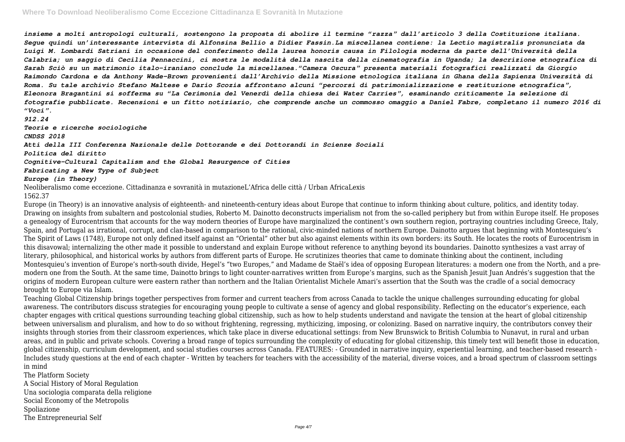*insieme a molti antropologi culturali, sostengono la proposta di abolire il termine "razza" dall'articolo 3 della Costituzione italiana. Segue quindi un'interessante intervista di Alfonsina Bellio a Didier Fassin.La miscellanea contiene: la Lectio magistralis pronunciata da Luigi M. Lombardi Satriani in occasione del conferimento della laurea honoris causa in Filologia moderna da parte dell'Università della Calabria; un saggio di Cecilia Pennaccini, ci mostra le modalità della nascita della cinematografia in Uganda; la descrizione etnografica di Sarah Sciò su un matrimonio italo-iraniano conclude la miscellanea."Camera Oscura" presenta materiali fotografici realizzati da Giorgio Raimondo Cardona e da Anthony Wade-Brown provenienti dall'Archivio della Missione etnologica italiana in Ghana della Sapienza Università di Roma. Su tale archivio Stefano Maltese e Dario Scozia affrontano alcuni "percorsi di patrimonializzazione e restituzione etnografica", Eleonora Bragantini si sofferma su "La Cerimonia del Venerdì della chiesa dei Water Carries", esaminando criticamente la selezione di fotografie pubblicate. Recensioni e un fitto notiziario, che comprende anche un commosso omaggio a Daniel Fabre, completano il numero 2016 di "Voci".*

*912.24*

*Teorie e ricerche sociologiche*

*CNDSS 2018*

*Atti della III Conferenza Nazionale delle Dottorande e dei Dottorandi in Scienze Sociali*

*Politica del diritto*

*Cognitive-Cultural Capitalism and the Global Resurgence of Cities*

*Fabricating a New Type of Subject*

*Europe (in Theory)*

Neoliberalismo come eccezione. Cittadinanza e sovranità in mutazioneL'Africa delle città / Urban AfricaLexis 1562.37

Europe (in Theory) is an innovative analysis of eighteenth- and nineteenth-century ideas about Europe that continue to inform thinking about culture, politics, and identity today. Drawing on insights from subaltern and postcolonial studies, Roberto M. Dainotto deconstructs imperialism not from the so-called periphery but from within Europe itself. He proposes a genealogy of Eurocentrism that accounts for the way modern theories of Europe have marginalized the continent's own southern region, portraying countries including Greece, Italy, Spain, and Portugal as irrational, corrupt, and clan-based in comparison to the rational, civic-minded nations of northern Europe. Dainotto argues that beginning with Montesquieu's The Spirit of Laws (1748), Europe not only defined itself against an "Oriental" other but also against elements within its own borders: its South. He locates the roots of Eurocentrism in this disavowal; internalizing the other made it possible to understand and explain Europe without reference to anything beyond its boundaries. Dainotto synthesizes a vast array of literary, philosophical, and historical works by authors from different parts of Europe. He scrutinizes theories that came to dominate thinking about the continent, including Montesquieu's invention of Europe's north-south divide, Hegel's "two Europes," and Madame de Staël's idea of opposing European literatures: a modern one from the North, and a premodern one from the South. At the same time, Dainotto brings to light counter-narratives written from Europe's margins, such as the Spanish Jesuit Juan Andrés's suggestion that the origins of modern European culture were eastern rather than northern and the Italian Orientalist Michele Amari's assertion that the South was the cradle of a social democracy brought to Europe via Islam.

Teaching Global Citizenship brings together perspectives from former and current teachers from across Canada to tackle the unique challenges surrounding educating for global awareness. The contributors discuss strategies for encouraging young people to cultivate a sense of agency and global responsibility. Reflecting on the educator's experience, each chapter engages with critical questions surrounding teaching global citizenship, such as how to help students understand and navigate the tension at the heart of global citizenship between universalism and pluralism, and how to do so without frightening, regressing, mythicizing, imposing, or colonizing. Based on narrative inquiry, the contributors convey their insights through stories from their classroom experiences, which take place in diverse educational settings: from New Brunswick to British Columbia to Nunavut, in rural and urban areas, and in public and private schools. Covering a broad range of topics surrounding the complexity of educating for global citizenship, this timely text will benefit those in education, global citizenship, curriculum development, and social studies courses across Canada. FEATURES: - Grounded in narrative inquiry, experiential learning, and teacher-based research - Includes study questions at the end of each chapter - Written by teachers for teachers with the accessibility of the material, diverse voices, and a broad spectrum of classroom settings in mind

The Platform Society A Social History of Moral Regulation Una sociologia comparata della religione Social Economy of the Metropolis Spoliazione The Entrepreneurial Self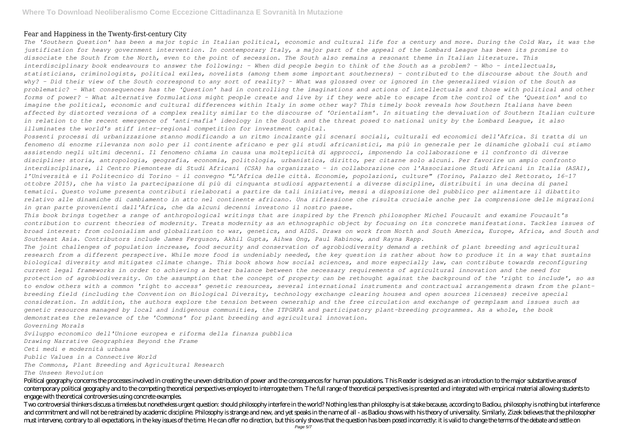#### Fear and Happiness in the Twenty-first-century City

*The 'Southern Question' has been a major topic in Italian political, economic and cultural life for a century and more. During the Cold War, it was the justification for heavy government intervention. In contemporary Italy, a major part of the appeal of the Lombard League has been its promise to dissociate the South from the North, even to the point of secession. The South also remains a resonant theme in Italian literature. This interdisciplinary book endeavours to answer the following: - When did people begin to think of the South as a problem? - Who - intellectuals, statisticians, criminologists, political exiles, novelists (among them some important southerners) - contributed to the discourse about the South and why? - Did their view of the South correspond to any sort of reality? - What was glossed over or ignored in the generalized vision of the South as problematic? - What consequences has the 'Question' had in controlling the imaginations and actions of intellectuals and those with political and other forms of power? - What alternative formulations might people create and live by if they were able to escape from the control of the 'Question' and to imagine the political, economic and cultural differences within Italy in some other way? This timely book reveals how Southern Italians have been affected by distorted versions of a complex reality similar to the discourse of 'Orientalism'. In situating the devaluation of Southern Italian culture in relation to the recent emergence of 'anti-mafia' ideology in the South and the threat posed to national unity by the Lombard League, it also illuminates the world's stiff inter-regional competition for investment capital.*

*Possenti processi di urbanizzazione stanno modificando a un ritmo incalzante gli scenari sociali, culturali ed economici dell'Africa. Si tratta di un fenomeno di enorme rilevanza non solo per il continente africano e per gli studi africanistici, ma più in generale per le dinamiche globali cui stiamo assistendo negli ultimi decenni. Il fenomeno chiama in causa una molteplicità di approcci, imponendo la collaborazione e il confronto di diverse discipline: storia, antropologia, geografia, economia, politologia, urbanistica, diritto, per citarne solo alcuni. Per favorire un ampio confronto interdisciplinare, il Centro Piemontese di Studi Africani (CSA) ha organizzato – in collaborazione con l'Associazione Studi Africani in Italia (ASAI), l'Università e il Politecnico di Torino – il convegno "L'Africa delle città. Economie, popolazioni, culture" (Torino, Palazzo del Rettorato, 16-17 ottobre 2015), che ha visto la partecipazione di più di cinquanta studiosi appartenenti a diverse discipline, distribuiti in una decina di panel tematici. Questo volume presenta contributi rielaborati a partire da tali iniziative, messi a disposizione del pubblico per alimentare il dibattito relativo alle dinamiche di cambiamento in atto nel continente africano. Una riflessione che risulta cruciale anche per la comprensione delle migrazioni in gran parte provenienti dall'Africa, che da alcuni decenni investono il nostro paese.*

*This book brings together a range of anthropological writings that are inspired by the French philosopher Michel Foucault and examine Foucault's contribution to current theories of modernity. Treats modernity as an ethnographic object by focusing on its concrete manifestations. Tackles issues of broad interest: from colonialism and globalization to war, genetics, and AIDS. Draws on work from North and South America, Europe, Africa, and South and Southeast Asia. Contributors include James Ferguson, Akhil Gupta, Aihwa Ong, Paul Rabinow, and Rayna Rapp.*

*The joint challenges of population increase, food security and conservation of agrobiodiversity demand a rethink of plant breeding and agricultural research from a different perspective. While more food is undeniably needed, the key question is rather about how to produce it in a way that sustains biological diversity and mitigates climate change. This book shows how social sciences, and more especially law, can contribute towards reconfiguring current legal frameworks in order to achieving a better balance between the necessary requirements of agricultural innovation and the need for protection of agrobiodiversity. On the assumption that the concept of property can be rethought against the background of the 'right to include', so as to endow others with a common 'right to access' genetic resources, several international instruments and contractual arrangements drawn from the plantbreeding field (including the Convention on Biological Diversity, technology exchange clearing houses and open sources licenses) receive special consideration. In addition, the authors explore the tension between ownership and the free circulation and exchange of germplasm and issues such as genetic resources managed by local and indigenous communities, the ITPGRFA and participatory plant-breeding programmes. As a whole, the book demonstrates the relevance of the 'Commons' for plant breeding and agricultural innovation. Governing Morals*

*Sviluppo economico dell'Unione europea e riforma della finanza pubblica Drawing Narrative Geographies Beyond the Frame Ceti medi e modernità urbana Public Values in a Connective World The Commons, Plant Breeding and Agricultural Research The Unseen Revolution*

Political geography concerns the processes involved in creating the uneven distribution of power and the consequences for human populations. This Reader is designed as an introduction to the major substantive areas of contemporary political geography and to the competing theoretical perspectives employed to interrogate them. The full range of theoretical perspectives is presented and integrated with empirical material allowing students to engage with theoretical controversies using concrete examples.

Two controversial thinkers discuss a timeless but nonetheless urgent question; should philosophy interfere in the world? Nothing less than philosophy is at stake because, according to Badiou, philosophy is nothing but inte and commitment and will not be restrained by academic discipline. Philosophy is strange and new, and yet speaks in the name of all - as Badiou shows with his theory of universality. Similarly, Zizek believes that the philo must intervene, contrary to all expectations, in the key issues of the time. He can offer no direction, but this only shows that the question has been posed incorrectly, it is valid to change the terms of the debate and se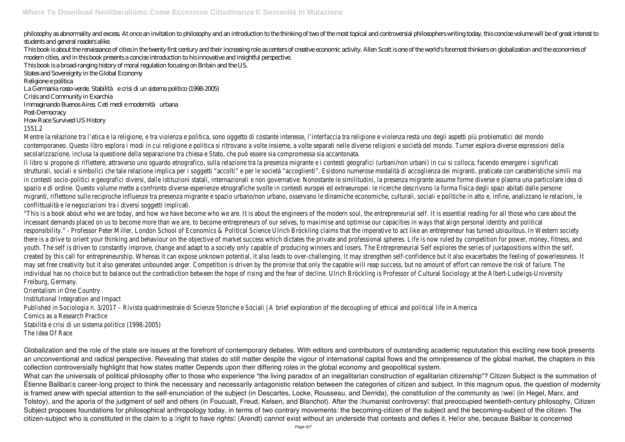philosophy as abnormality and excess At once an invitation to philosophy and an introduction to the thinking of two of the most topical and controversial philosophers writing today, this concise volume will be of great int students and general readers alike.

This book is about the renaissance of cities in the twenty first century and their increasing role as centers of creative economic activity. Allen Scott is one of the world's foremost thinkers on globalization and the econ modern cities, and in this book presents a concise introduction to his innovative and insightful perspective. This book is a broad-ranging history of moral regulation focusing on Britain and the US. States and Sovereignty in the Global Economy Religione e politica La Germania rosso-verde. Stabilità e crisi di un sistema politico (1998-2005)

Crisis and Community in Exarchia

Immaginando Buenos Aires. Ceti medi e modernità urbana

#### Post-Democracy

### How Race Survived US History

## 1551.2

Mentre la relazione tra l'etica e la religione, e tra violenza e politica, sono oggetto di costante interesse, l'interfaccia tra religione e violenza resta uno degli aspetti più problematici del mondo contemporaneo. Questo libro esplora i modi in cui religione e politica si ritrovano a volte insieme, a volte separati nelle diverse religioni e società del mondo. Turner esplora diverse espressioni della secolarizzazione, inclusa la questione della separazione tra chiesa e Stato, che può essere sia compromessa sia accantonata.

Il libro si propone di riflettere, attraverso uno squardo etnografico, sulla relazione tra la presenza migrante e i contesti geografici (urbani/non urbani) in cui si colloca, facendo emergere i significatione trationale en strutturali, sociali e simbolici che tale relazione implica per i soggetti "accolti" e per le società "accoglienti". Esistono numerose modalità di accoglienza dei migranti, praticate con caratteristiche si in contesti socio-politici e geografici diversi, dalle istituzioni statali, internazionali e non governative. Nonostante le similitudini, la presenza migrante assume forme diverse e plasma una particolare spazio e di ordine. Questo volume mette a confronto diverse esperienze etnografiche svolte in contesti europei ed extraeuropei: le ricerche descrivono la forma fisica degli spazi abitati dalle perso migranti, riflettono sulle reciproche influenze tra presenza migrante e spazio urbano/non urbano, osservano le dinamiche economiche, culturali, sociali e politiche in atto e, infine, analizzano le relaz conflittualità e le negoziazioni tra i diversi soggetti implicati.

"This is a book about who we are today, and how we have become who we are. It is about the engineers of the modern soul, the entrepreneurial self. It is essential reading for all those who car incessant demands placed on us to become more than we are, to become entrepreneurs of our selves, to maximise and optimise our capacities in ways that align personal identity and political responsibility." - Professor Peter Miller, London School of Economics & Political Science Ulrich Bröckling claims that the imperative to act like an entrepreneur has turned ubiquitous. In Western s there is a drive to orient your thinking and behaviour on the objective of market success which dictates the private and professional spheres. Life is now ruled by competition for power, money, youth. The self is driven to constantly improve, change and adapt to a society only capable of producing winners and losers. The Entrepreneurial Self explores the series of juxtapositions within t created by this call for entrepreneurship. Whereas it can expose unknown potential, it also leads to over-challenging. It may strengthen self-confidence but it also exacerbates the feeling of pow may set free creativity but it also generates unbounded anger. Competition is driven by the promise that only the capable will reap success, but no amount of effort can remove the risk of failure. individual has no choice but to balance out the contradiction between the hope of rising and the fear of decline. Ulrich Bröckling is Professor of Cultural Sociology at the Albert-Ludwigs-University Freiburg, Germany.

Globalization and the role of the state are issues at the forefront of contemporary debates. With editors and contributors of outstanding academic repututation this exciting new book presents an unconventional and radical perspective. Revealing that states do still matter despite the vigour of international capital flows and the omnipresence of the global market, the chapters in this collection controversially highlight that how states matter Depends upon their differing roles in the global economy and geopolitical system. What can the universals of political philosophy offer to those who experience "the living paradox of an inegalitarian construction of egalitarian citizenship"? Citizen Subject is the summation of Etienne Balibar<sup>'</sup>s career-long project to think the necessary and necessarily antagonistic relation between the categories of citizen and subject. In this magnum opus, the question of modernity is framed anew with special attention to the self-enunciation of the subject (in Descartes, Locke, Rousseau, and Derrida), the constitution of the community as Iwell (in Hegel, Marx, and Tolstoy), and the aporia of the judgment of self and others (in Foucualt, Freud, Kelsen, and Blanchot). After the Dhumanist controversyD that preoccupied twentieth-century philosophy, Citizen Subject proposes foundations for philosophical anthropology today, in terms of two contrary movements: the becoming-citizen of the subject and the becoming-subject of the citizen. The citizen-subject who is constituted in the claim to a Dright to have rightsD (Arendt) cannot exist without an underside that contests and defies it. HeDor she, because Balibar is concerned

Orientalism in One Country

Institutional Integration and Impact

Published in Sociologia n. 3/2017 – Rivista quadrimestrale di Scienze Storiche e Sociali | A brief exploration of the decoupling of ethical and political life in America Comics as a Research Practice

Stabilità e crisi di un sistema politico (1998-2005)

The Idea Of Race